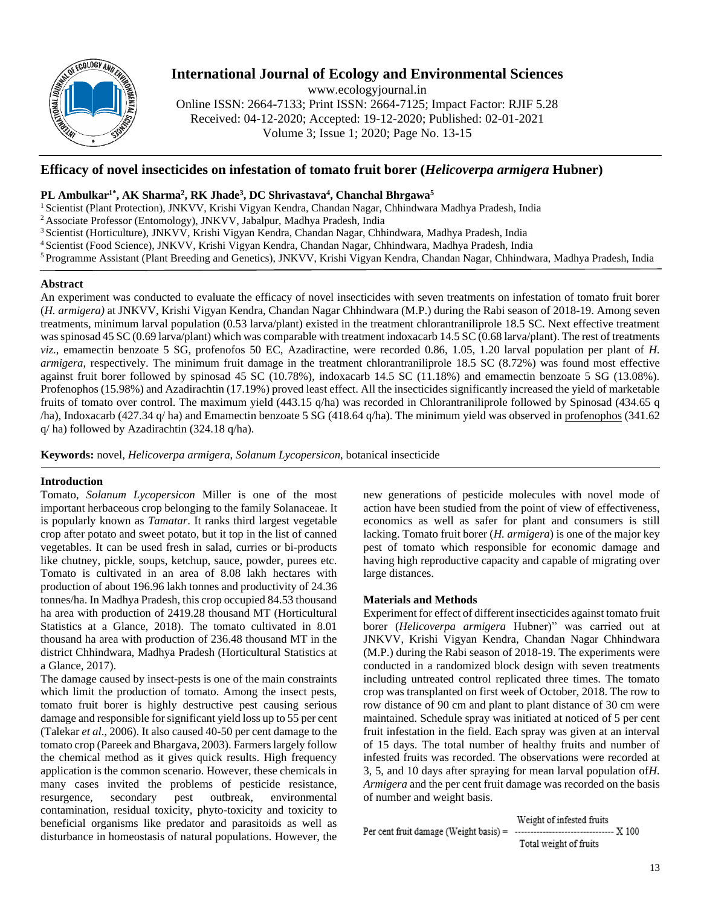

# **International Journal of Ecology and Environmental Sciences**

www.ecologyjournal.in

Online ISSN: 2664-7133; Print ISSN: 2664-7125; Impact Factor: RJIF 5.28 Received: 04-12-2020; Accepted: 19-12-2020; Published: 02-01-2021 Volume 3; Issue 1; 2020; Page No. 13-15

## **Efficacy of novel insecticides on infestation of tomato fruit borer (***Helicoverpa armigera* **Hubner)**

## **PL Ambulkar1\* , AK Sharma<sup>2</sup> , RK Jhade<sup>3</sup> , DC Shrivastava<sup>4</sup> , Chanchal Bhrgawa<sup>5</sup>**

<sup>1</sup> Scientist (Plant Protection), JNKVV, Krishi Vigyan Kendra, Chandan Nagar, Chhindwara Madhya Pradesh, India

<sup>2</sup>Associate Professor (Entomology), JNKVV, Jabalpur, Madhya Pradesh, India

- <sup>3</sup> Scientist (Horticulture), JNKVV, Krishi Vigyan Kendra, Chandan Nagar, Chhindwara, Madhya Pradesh, India
- <sup>4</sup>Scientist (Food Science), JNKVV, Krishi Vigyan Kendra, Chandan Nagar, Chhindwara, Madhya Pradesh, India
- <sup>5</sup>Programme Assistant (Plant Breeding and Genetics), JNKVV, Krishi Vigyan Kendra, Chandan Nagar, Chhindwara, Madhya Pradesh, India

## **Abstract**

An experiment was conducted to evaluate the efficacy of novel insecticides with seven treatments on infestation of tomato fruit borer (*H. armigera)* at JNKVV, Krishi Vigyan Kendra, Chandan Nagar Chhindwara (M.P.) during the Rabi season of 2018-19. Among seven treatments, minimum larval population (0.53 larva/plant) existed in the treatment chlorantraniliprole 18.5 SC. Next effective treatment was spinosad 45 SC (0.69 larva/plant) which was comparable with treatment indoxacarb 14.5 SC (0.68 larva/plant). The rest of treatments *viz*., emamectin benzoate 5 SG, profenofos 50 EC, Azadiractine, were recorded 0.86, 1.05, 1.20 larval population per plant of *H. armigera*, respectively. The minimum fruit damage in the treatment chlorantraniliprole 18.5 SC (8.72%) was found most effective against fruit borer followed by spinosad 45 SC (10.78%), indoxacarb 14.5 SC (11.18%) and emamectin benzoate 5 SG (13.08%). Profenophos (15.98%) and Azadirachtin (17.19%) proved least effect. All the insecticides significantly increased the yield of marketable fruits of tomato over control. The maximum yield (443.15 q/ha) was recorded in Chlorantraniliprole followed by Spinosad (434.65 q /ha), Indoxacarb (427.34 q/ ha) and Emamectin benzoate 5 SG (418.64 q/ha). The minimum yield was observed in profenophos (341.62 q/ ha) followed by Azadirachtin (324.18 q/ha).

**Keywords:** novel, *Helicoverpa armigera*, *Solanum Lycopersicon*, botanical insecticide

## **Introduction**

Tomato, *Solanum Lycopersicon* Miller is one of the most important herbaceous crop belonging to the family Solanaceae. It is popularly known as *Tamatar*. It ranks third largest vegetable crop after potato and sweet potato, but it top in the list of canned vegetables. It can be used fresh in salad, curries or bi-products like chutney, pickle, soups, ketchup, sauce, powder, purees etc. Tomato is cultivated in an area of 8.08 lakh hectares with production of about 196.96 lakh tonnes and productivity of 24.36 tonnes/ha. In Madhya Pradesh, this crop occupied 84.53 thousand ha area with production of 2419.28 thousand MT (Horticultural Statistics at a Glance, 2018). The tomato cultivated in 8.01 thousand ha area with production of 236.48 thousand MT in the district Chhindwara, Madhya Pradesh (Horticultural Statistics at a Glance, 2017).

The damage caused by insect-pests is one of the main constraints which limit the production of tomato. Among the insect pests, tomato fruit borer is highly destructive pest causing serious damage and responsible for significant yield loss up to 55 per cent (Talekar *et al*., 2006). It also caused 40-50 per cent damage to the tomato crop (Pareek and Bhargava, 2003). Farmers largely follow the chemical method as it gives quick results. High frequency application is the common scenario. However, these chemicals in many cases invited the problems of pesticide resistance, resurgence, secondary pest outbreak, environmental contamination, residual toxicity, phyto-toxicity and toxicity to beneficial organisms like predator and parasitoids as well as disturbance in homeostasis of natural populations. However, the

new generations of pesticide molecules with novel mode of action have been studied from the point of view of effectiveness, economics as well as safer for plant and consumers is still lacking. Tomato fruit borer (*H. armigera*) is one of the major key pest of tomato which responsible for economic damage and having high reproductive capacity and capable of migrating over large distances.

## **Materials and Methods**

Experiment for effect of different insecticides against tomato fruit borer (*Helicoverpa armigera* Hubner)" was carried out at JNKVV, Krishi Vigyan Kendra, Chandan Nagar Chhindwara (M.P.) during the Rabi season of 2018-19. The experiments were conducted in a randomized block design with seven treatments including untreated control replicated three times. The tomato crop was transplanted on first week of October, 2018. The row to row distance of 90 cm and plant to plant distance of 30 cm were maintained. Schedule spray was initiated at noticed of 5 per cent fruit infestation in the field. Each spray was given at an interval of 15 days. The total number of healthy fruits and number of infested fruits was recorded. The observations were recorded at 3, 5, and 10 days after spraying for mean larval population of*H. Armigera* and the per cent fruit damage was recorded on the basis of number and weight basis.

Weight of infested fruits Per cent fruit damage (Weight basis) = .................................... X 100 Total weight of fruits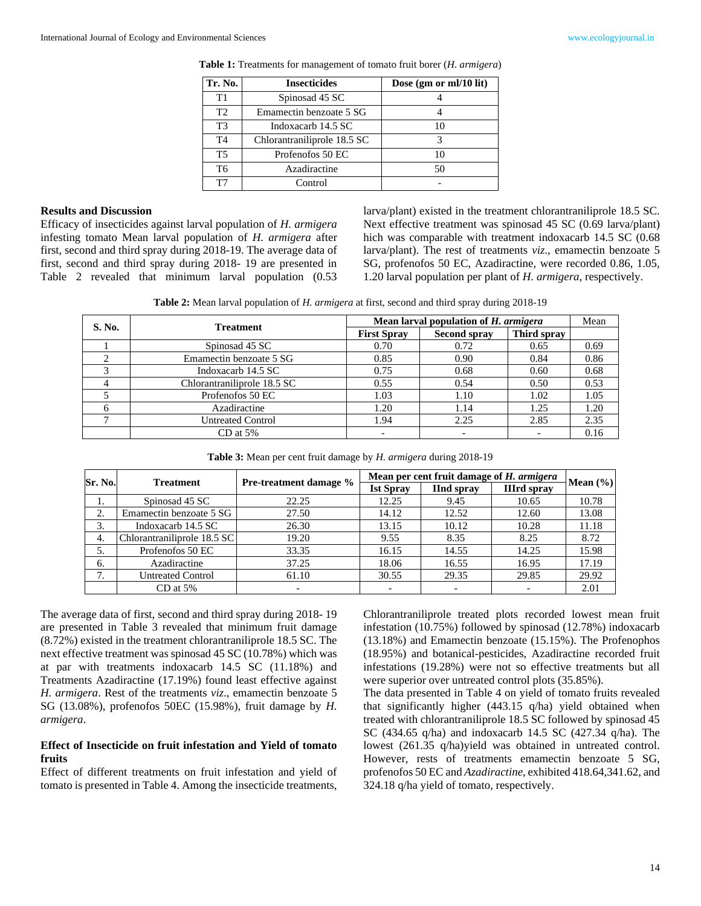| Tr. No. | <b>Insecticides</b>         | Dose $(gm \text{ or } ml/10 \text{ lit})$ |
|---------|-----------------------------|-------------------------------------------|
| T1      | Spinosad 45 SC              |                                           |
| T2      | Emamectin benzoate 5 SG     |                                           |
| T3      | Indoxacarb 14.5 SC          |                                           |
| T4      | Chlorantraniliprole 18.5 SC | 3                                         |
| T5      | Profenofos 50 EC            | 10                                        |
| T6      | Azadiractine                | 50                                        |
| T7      | Control                     |                                           |

**Table 1:** Treatments for management of tomato fruit borer (*H. armigera*)

#### **Results and Discussion**

Efficacy of insecticides against larval population of *H. armigera*  infesting tomato Mean larval population of *H. armigera* after first, second and third spray during 2018-19. The average data of first, second and third spray during 2018- 19 are presented in Table 2 revealed that minimum larval population (0.53 larva/plant) existed in the treatment chlorantraniliprole 18.5 SC. Next effective treatment was spinosad 45 SC (0.69 larva/plant) hich was comparable with treatment indoxacarb 14.5 SC (0.68) larva/plant). The rest of treatments *viz*., emamectin benzoate 5 SG, profenofos 50 EC, Azadiractine, were recorded 0.86, 1.05, 1.20 larval population per plant of *H. armigera*, respectively.

**Table 2:** Mean larval population of *H. armigera* at first, second and third spray during 2018-19

| S. No. | <b>Treatment</b>            |                    | Mean larval population of H. armigera |             |      |  |
|--------|-----------------------------|--------------------|---------------------------------------|-------------|------|--|
|        |                             | <b>First Spray</b> | <b>Second spray</b>                   | Third spray |      |  |
|        | Spinosad 45 SC              | 0.70               | 0.72                                  | 0.65        | 0.69 |  |
|        | Emamectin benzoate 5 SG     | 0.85               | 0.90                                  | 0.84        | 0.86 |  |
|        | Indoxacarb 14.5 SC          | 0.75               | 0.68                                  | 0.60        | 0.68 |  |
|        | Chlorantraniliprole 18.5 SC | 0.55               | 0.54                                  | 0.50        | 0.53 |  |
|        | Profenofos 50 EC            | 1.03               | 1.10                                  | 1.02        | 1.05 |  |
|        | Azadiractine                | 1.20               | 1.14                                  | 1.25        | 1.20 |  |
|        | <b>Untreated Control</b>    | 1.94               | 2.25                                  | 2.85        | 2.35 |  |
|        | $CD$ at 5%                  |                    |                                       |             | 0.16 |  |

| Table 3: Mean per cent fruit damage by <i>H. armigera</i> during 2018-19 |  |  |  |
|--------------------------------------------------------------------------|--|--|--|
|--------------------------------------------------------------------------|--|--|--|

| Sr. No. |                             |                               | Mean per cent fruit damage of H. armigera |                    |                    |              |
|---------|-----------------------------|-------------------------------|-------------------------------------------|--------------------|--------------------|--------------|
|         | <b>Treatment</b>            | <b>Pre-treatment damage %</b> | <b>Ist Spray</b>                          | <b>I</b> Ind spray | <b>IIIrd spray</b> | Mean $(\% )$ |
| 1.      | Spinosad 45 SC              | 22.25                         | 12.25                                     | 9.45               | 10.65              | 10.78        |
| 2.      | Emamectin benzoate 5 SG     | 27.50                         | 14.12                                     | 12.52              | 12.60              | 13.08        |
| 3.      | Indoxacarb 14.5 SC          | 26.30                         | 13.15                                     | 10.12              | 10.28              | 11.18        |
| 4.      | Chlorantraniliprole 18.5 SC | 19.20                         | 9.55                                      | 8.35               | 8.25               | 8.72         |
| 5.      | Profenofos 50 EC            | 33.35                         | 16.15                                     | 14.55              | 14.25              | 15.98        |
| 6.      | Azadiractine                | 37.25                         | 18.06                                     | 16.55              | 16.95              | 17.19        |
| 7.      | <b>Untreated Control</b>    | 61.10                         | 30.55                                     | 29.35              | 29.85              | 29.92        |
|         | $CD$ at 5%                  |                               |                                           |                    |                    | 2.01         |

The average data of first, second and third spray during 2018- 19 are presented in Table 3 revealed that minimum fruit damage (8.72%) existed in the treatment chlorantraniliprole 18.5 SC. The next effective treatment was spinosad 45 SC (10.78%) which was at par with treatments indoxacarb 14.5 SC (11.18%) and Treatments Azadiractine (17.19%) found least effective against *H. armigera*. Rest of the treatments *viz*., emamectin benzoate 5 SG (13.08%), profenofos 50EC (15.98%), fruit damage by *H. armigera*.

#### **Effect of Insecticide on fruit infestation and Yield of tomato fruits**

Effect of different treatments on fruit infestation and yield of tomato is presented in Table 4. Among the insecticide treatments,

Chlorantraniliprole treated plots recorded lowest mean fruit infestation (10.75%) followed by spinosad (12.78%) indoxacarb (13.18%) and Emamectin benzoate (15.15%). The Profenophos (18.95%) and botanical-pesticides, Azadiractine recorded fruit infestations (19.28%) were not so effective treatments but all were superior over untreated control plots (35.85%).

The data presented in Table 4 on yield of tomato fruits revealed that significantly higher (443.15 q/ha) yield obtained when treated with chlorantraniliprole 18.5 SC followed by spinosad 45 SC (434.65 q/ha) and indoxacarb 14.5 SC (427.34 q/ha). The lowest (261.35 q/ha)yield was obtained in untreated control. However, rests of treatments emamectin benzoate 5 SG, profenofos 50 EC and *Azadiractine*, exhibited 418.64,341.62, and 324.18 q/ha yield of tomato, respectively.